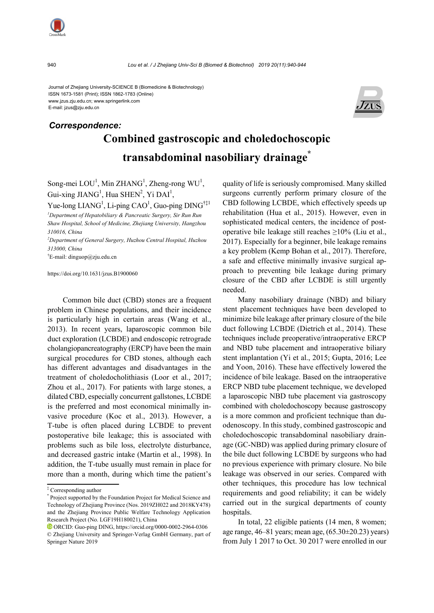

Journal of Zhejiang University-SCIENCE B (Biomedicine & Biotechnology) ISSN 1673-1581 (Print); ISSN 1862-1783 (Online) www.jzus.zju.edu.cn; www.springerlink.com E-mail: jzus@zju.edu.cn



# **Combined gastroscopic and choledochoscopic transabdominal nasobiliary drainage\***  *Correspondence:*

Song-mei  $LOU<sup>1</sup>$ , Min ZHANG<sup>1</sup>, Zheng-rong WU<sup>1</sup>, Gui-xing JIANG<sup>1</sup>, Hua SHEN<sup>2</sup>, Yi DAI<sup>1</sup>,

Yue-long  $LIANG<sup>1</sup>$ , Li-ping CAO<sup>1</sup>, Guo-ping DING<sup>†‡1</sup> *1 Department of Hepatobiliary & Pancreatic Surgery, Sir Run Run* 

*Shaw Hospital, School of Medicine, Zhejiang University, Hangzhou 310016, China* 

*2 Department of General Surgery, Huzhou Central Hospital, Huzhou 313000, China* 

† E-mail: dinguop@zju.edu.cn

https://doi.org/10.1631/jzus.B1900060

Common bile duct (CBD) stones are a frequent problem in Chinese populations, and their incidence is particularly high in certain areas (Wang et al., 2013). In recent years, laparoscopic common bile duct exploration (LCBDE) and endoscopic retrograde cholangiopancreatography (ERCP) have been the main surgical procedures for CBD stones, although each has different advantages and disadvantages in the treatment of choledocholithiasis (Loor et al., 2017; Zhou et al., 2017). For patients with large stones, a dilated CBD, especially concurrent gallstones, LCBDE is the preferred and most economical minimally invasive procedure (Koc et al., 2013). However, a T-tube is often placed during LCBDE to prevent postoperative bile leakage; this is associated with problems such as bile loss, electrolyte disturbance, and decreased gastric intake (Martin et al., 1998). In addition, the T-tube usually must remain in place for more than a month, during which time the patient's

quality of life is seriously compromised. Many skilled surgeons currently perform primary closure of the CBD following LCBDE, which effectively speeds up rehabilitation (Hua et al., 2015). However, even in sophisticated medical centers, the incidence of postoperative bile leakage still reaches  $\geq$ 10% (Liu et al., 2017). Especially for a beginner, bile leakage remains a key problem (Kemp Bohan et al., 2017). Therefore, a safe and effective minimally invasive surgical approach to preventing bile leakage during primary closure of the CBD after LCBDE is still urgently needed.

Many nasobiliary drainage (NBD) and biliary stent placement techniques have been developed to minimize bile leakage after primary closure of the bile duct following LCBDE (Dietrich et al., 2014). These techniques include preoperative/intraoperative ERCP and NBD tube placement and intraoperative biliary stent implantation (Yi et al., 2015; Gupta, 2016; Lee and Yoon, 2016). These have effectively lowered the incidence of bile leakage. Based on the intraoperative ERCP NBD tube placement technique, we developed a laparoscopic NBD tube placement via gastroscopy combined with choledochoscopy because gastroscopy is a more common and proficient technique than duodenoscopy. In this study, combined gastroscopic and choledochoscopic transabdominal nasobiliary drainage (GC-NBD) was applied during primary closure of the bile duct following LCBDE by surgeons who had no previous experience with primary closure. No bile leakage was observed in our series. Compared with other techniques, this procedure has low technical requirements and good reliability; it can be widely carried out in the surgical departments of county hospitals.

In total, 22 eligible patients (14 men, 8 women; age range, 46–81 years; mean age, (65.30±20.23) years) from July 1 2017 to Oct. 30 2017 were enrolled in our

<sup>‡</sup> Corresponding author

<sup>\*</sup> Project supported by the Foundation Project for Medical Science and Technology of Zhejiang Province (Nos. 2019ZH022 and 2018KY478) and the Zhejiang Province Public Welfare Technology Application Research Project (No. LGF19H180021), China

ORCID: Guo-ping DING, https://orcid.org/0000-0002-2964-0306 © Zhejiang University and Springer-Verlag GmbH Germany, part of Springer Nature 2019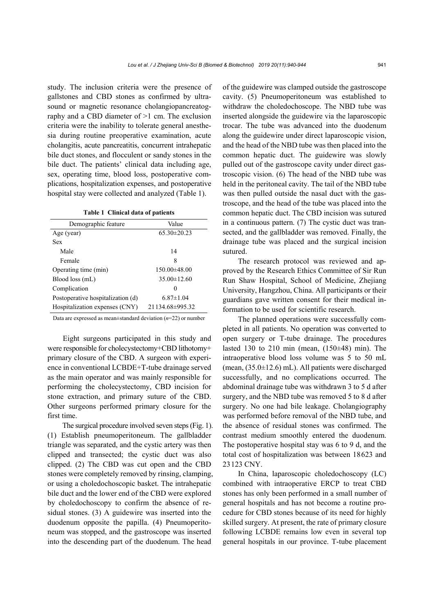study. The inclusion criteria were the presence of gallstones and CBD stones as confirmed by ultrasound or magnetic resonance cholangiopancreatography and a CBD diameter of >1 cm. The exclusion criteria were the inability to tolerate general anesthesia during routine preoperative examination, acute cholangitis, acute pancreatitis, concurrent intrahepatic bile duct stones, and flocculent or sandy stones in the bile duct. The patients' clinical data including age, sex, operating time, blood loss, postoperative complications, hospitalization expenses, and postoperative hospital stay were collected and analyzed (Table 1).

| Table 1 Clinical data of patients |
|-----------------------------------|
|-----------------------------------|

| Demographic feature               | Value             |
|-----------------------------------|-------------------|
| Age (year)                        | $65.30 \pm 20.23$ |
| Sex                               |                   |
| Male                              | 14                |
| Female                            | 8                 |
| Operating time (min)              | $150.00\pm48.00$  |
| Blood loss (mL)                   | $35.00 \pm 12.60$ |
| Complication                      | 0                 |
| Postoperative hospitalization (d) | $6.87\pm1.04$     |
| Hospitalization expenses (CNY)    | 21134.68±995.32   |

Data are expressed as mean±standard deviation (*n*=22) or number

Eight surgeons participated in this study and were responsible for cholecystectomy+CBD lithotomy+ primary closure of the CBD. A surgeon with experience in conventional LCBDE+T-tube drainage served as the main operator and was mainly responsible for performing the cholecystectomy, CBD incision for stone extraction, and primary suture of the CBD. Other surgeons performed primary closure for the first time.

The surgical procedure involved seven steps (Fig. 1). (1) Establish pneumoperitoneum. The gallbladder triangle was separated, and the cystic artery was then clipped and transected; the cystic duct was also clipped. (2) The CBD was cut open and the CBD stones were completely removed by rinsing, clamping, or using a choledochoscopic basket. The intrahepatic bile duct and the lower end of the CBD were explored by choledochoscopy to confirm the absence of residual stones. (3) A guidewire was inserted into the duodenum opposite the papilla. (4) Pneumoperitoneum was stopped, and the gastroscope was inserted into the descending part of the duodenum. The head

of the guidewire was clamped outside the gastroscope cavity. (5) Pneumoperitoneum was established to withdraw the choledochoscope. The NBD tube was inserted alongside the guidewire via the laparoscopic trocar. The tube was advanced into the duodenum along the guidewire under direct laparoscopic vision, and the head of the NBD tube was then placed into the common hepatic duct. The guidewire was slowly pulled out of the gastroscope cavity under direct gastroscopic vision. (6) The head of the NBD tube was held in the peritoneal cavity. The tail of the NBD tube was then pulled outside the nasal duct with the gastroscope, and the head of the tube was placed into the common hepatic duct. The CBD incision was sutured in a continuous pattern. (7) The cystic duct was transected, and the gallbladder was removed. Finally, the drainage tube was placed and the surgical incision sutured.

The research protocol was reviewed and approved by the Research Ethics Committee of Sir Run Run Shaw Hospital, School of Medicine, Zhejiang University, Hangzhou, China. All participants or their guardians gave written consent for their medical information to be used for scientific research.

The planned operations were successfully completed in all patients. No operation was converted to open surgery or T-tube drainage. The procedures lasted 130 to 210 min (mean,  $(150\pm48)$  min). The intraoperative blood loss volume was 5 to 50 mL (mean, (35.0±12.6) mL). All patients were discharged successfully, and no complications occurred. The abdominal drainage tube was withdrawn 3 to 5 d after surgery, and the NBD tube was removed 5 to 8 d after surgery. No one had bile leakage. Cholangiography was performed before removal of the NBD tube, and the absence of residual stones was confirmed. The contrast medium smoothly entered the duodenum. The postoperative hospital stay was 6 to 9 d, and the total cost of hospitalization was between 18623 and 23123 CNY.

In China, laparoscopic choledochoscopy (LC) combined with intraoperative ERCP to treat CBD stones has only been performed in a small number of general hospitals and has not become a routine procedure for CBD stones because of its need for highly skilled surgery. At present, the rate of primary closure following LCBDE remains low even in several top general hospitals in our province. T-tube placement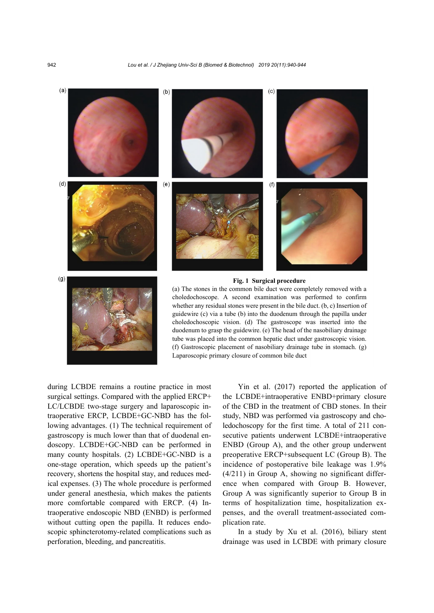

Laparoscopic primary closure of common bile duct

during LCBDE remains a routine practice in most surgical settings. Compared with the applied ERCP+ LC/LCBDE two-stage surgery and laparoscopic intraoperative ERCP, LCBDE+GC-NBD has the following advantages. (1) The technical requirement of gastroscopy is much lower than that of duodenal endoscopy. LCBDE+GC-NBD can be performed in many county hospitals. (2) LCBDE+GC-NBD is a one-stage operation, which speeds up the patient's recovery, shortens the hospital stay, and reduces medical expenses. (3) The whole procedure is performed under general anesthesia, which makes the patients more comfortable compared with ERCP. (4) Intraoperative endoscopic NBD (ENBD) is performed without cutting open the papilla. It reduces endoscopic sphincterotomy-related complications such as perforation, bleeding, and pancreatitis.

Yin et al. (2017) reported the application of the LCBDE+intraoperative ENBD+primary closure of the CBD in the treatment of CBD stones. In their study, NBD was performed via gastroscopy and choledochoscopy for the first time. A total of 211 consecutive patients underwent LCBDE+intraoperative ENBD (Group A), and the other group underwent preoperative ERCP+subsequent LC (Group B). The incidence of postoperative bile leakage was 1.9% (4/211) in Group A, showing no significant difference when compared with Group B. However, Group A was significantly superior to Group B in terms of hospitalization time, hospitalization expenses, and the overall treatment-associated complication rate.

In a study by Xu et al. (2016), biliary stent drainage was used in LCBDE with primary closure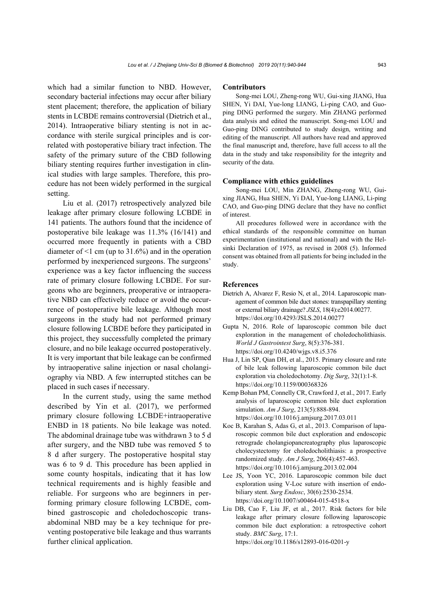which had a similar function to NBD. However, secondary bacterial infections may occur after biliary stent placement; therefore, the application of biliary stents in LCBDE remains controversial (Dietrich et al., 2014). Intraoperative biliary stenting is not in accordance with sterile surgical principles and is correlated with postoperative biliary tract infection. The safety of the primary suture of the CBD following biliary stenting requires further investigation in clinical studies with large samples. Therefore, this procedure has not been widely performed in the surgical setting.

Liu et al. (2017) retrospectively analyzed bile leakage after primary closure following LCBDE in 141 patients. The authors found that the incidence of postoperative bile leakage was 11.3% (16/141) and occurred more frequently in patients with a CBD diameter of  $\leq 1$  cm (up to 31.6%) and in the operation performed by inexperienced surgeons. The surgeons' experience was a key factor influencing the success rate of primary closure following LCBDE. For surgeons who are beginners, preoperative or intraoperative NBD can effectively reduce or avoid the occurrence of postoperative bile leakage. Although most surgeons in the study had not performed primary closure following LCBDE before they participated in this project, they successfully completed the primary closure, and no bile leakage occurred postoperatively. It is very important that bile leakage can be confirmed by intraoperative saline injection or nasal cholangiography via NBD. A few interrupted stitches can be placed in such cases if necessary.

In the current study, using the same method described by Yin et al. (2017), we performed primary closure following LCBDE+intraoperative ENBD in 18 patients. No bile leakage was noted. The abdominal drainage tube was withdrawn 3 to 5 d after surgery, and the NBD tube was removed 5 to 8 d after surgery. The postoperative hospital stay was 6 to 9 d. This procedure has been applied in some county hospitals, indicating that it has low technical requirements and is highly feasible and reliable. For surgeons who are beginners in performing primary closure following LCBDE, combined gastroscopic and choledochoscopic transabdominal NBD may be a key technique for preventing postoperative bile leakage and thus warrants further clinical application.

#### **Contributors**

Song-mei LOU, Zheng-rong WU, Gui-xing JIANG, Hua SHEN, Yi DAI, Yue-long LIANG, Li-ping CAO, and Guoping DING performed the surgery. Min ZHANG performed data analysis and edited the manuscript. Song-mei LOU and Guo-ping DING contributed to study design, writing and editing of the manuscript. All authors have read and approved the final manuscript and, therefore, have full access to all the data in the study and take responsibility for the integrity and security of the data.

#### **Compliance with ethics guidelines**

Song-mei LOU, Min ZHANG, Zheng-rong WU, Guixing JIANG, Hua SHEN, Yi DAI, Yue-long LIANG, Li-ping CAO, and Guo-ping DING declare that they have no conflict of interest.

All procedures followed were in accordance with the ethical standards of the responsible committee on human experimentation (institutional and national) and with the Helsinki Declaration of 1975, as revised in 2008 (5). Informed consent was obtained from all patients for being included in the study.

### **References**

- Dietrich A, Alvarez F, Resio N, et al., 2014. Laparoscopic management of common bile duct stones: transpapillary stenting or external biliary drainage? *JSLS*, 18(4):e2014.00277. https://doi.org/10.4293/JSLS.2014.00277
- Gupta N, 2016. Role of laparoscopic common bile duct exploration in the management of choledocholithiasis. *World J Gastrointest Surg*, 8(5):376-381. https://doi.org/10.4240/wjgs.v8.i5.376
- Hua J, Lin SP, Qian DH, et al., 2015. Primary closure and rate of bile leak following laparoscopic common bile duct exploration via choledochotomy. *Dig Surg*, 32(1):1-8. https://doi.org/10.1159/000368326
- Kemp Bohan PM, Connelly CR, Crawford J, et al., 2017. Early analysis of laparoscopic common bile duct exploration simulation. *Am J Surg*, 213(5):888-894. https://doi.org/10.1016/j.amjsurg.2017.03.011
- Koc B, Karahan S, Adas G, et al., 2013. Comparison of laparoscopic common bile duct exploration and endoscopic retrograde cholangiopancreatography plus laparoscopic cholecystectomy for choledocholithiasis: a prospective randomized study. *Am J Surg*, 206(4):457-463. https://doi.org/10.1016/j.amjsurg.2013.02.004
- Lee JS, Yoon YC, 2016. Laparoscopic common bile duct exploration using V-Loc suture with insertion of endobiliary stent. *Surg Endosc*, 30(6):2530-2534. https://doi.org/10.1007/s00464-015-4518-x
- Liu DB, Cao F, Liu JF, et al., 2017. Risk factors for bile leakage after primary closure following laparoscopic common bile duct exploration: a retrospective cohort study. *BMC Surg*, 17:1. https://doi.org/10.1186/s12893-016-0201-y